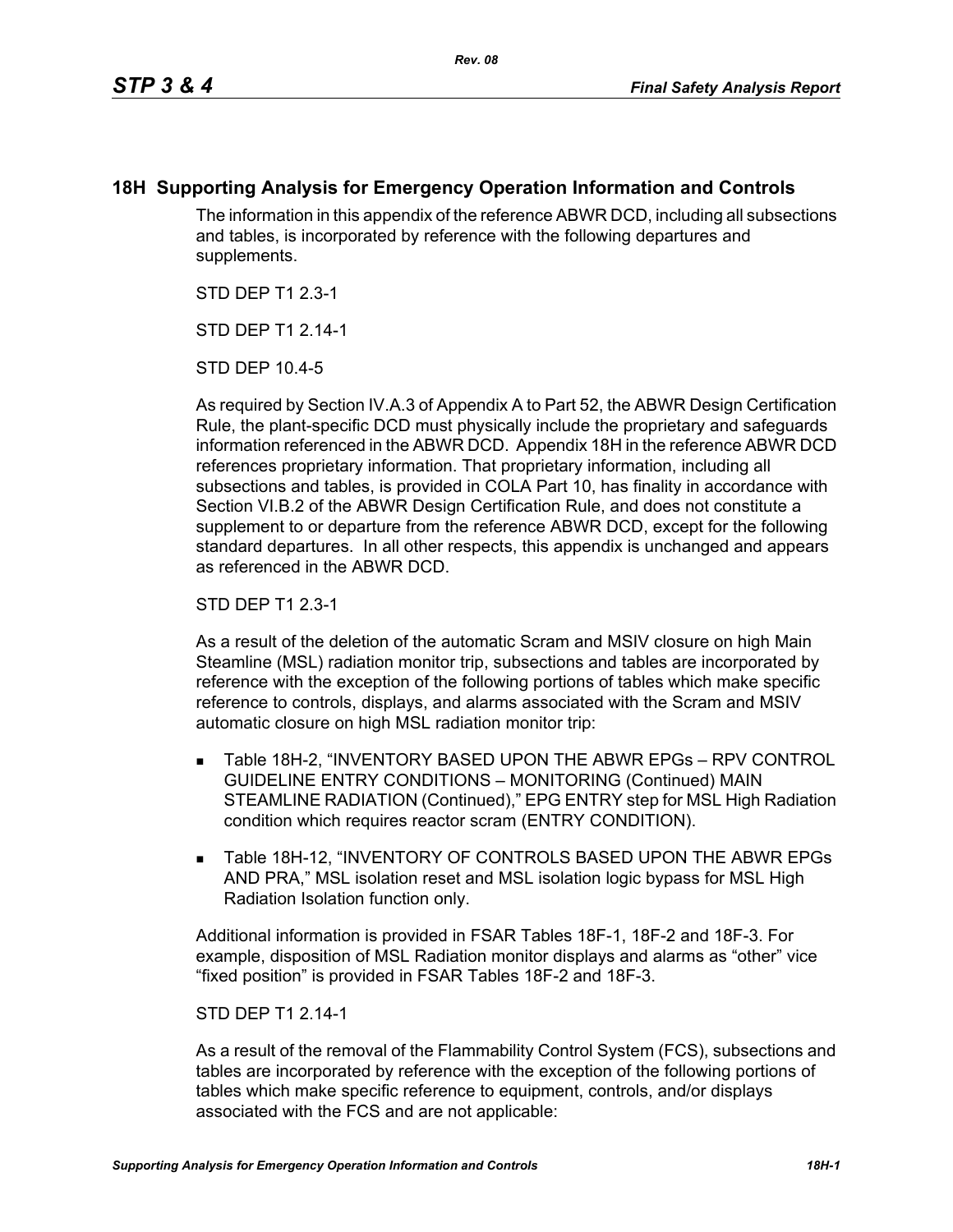## **18H Supporting Analysis for Emergency Operation Information and Controls**

The information in this appendix of the reference ABWR DCD, including all subsections and tables, is incorporated by reference with the following departures and supplements.

STD DEP T1 2.3-1

STD DFP T1 2 14-1

STD DEP 10.4-5

As required by Section IV.A.3 of Appendix A to Part 52, the ABWR Design Certification Rule, the plant-specific DCD must physically include the proprietary and safeguards information referenced in the ABWR DCD. Appendix 18H in the reference ABWR DCD references proprietary information. That proprietary information, including all subsections and tables, is provided in COLA Part 10, has finality in accordance with Section VI.B.2 of the ABWR Design Certification Rule, and does not constitute a supplement to or departure from the reference ABWR DCD, except for the following standard departures. In all other respects, this appendix is unchanged and appears as referenced in the ABWR DCD.

STD DEP T1 2.3-1

As a result of the deletion of the automatic Scram and MSIV closure on high Main Steamline (MSL) radiation monitor trip, subsections and tables are incorporated by reference with the exception of the following portions of tables which make specific reference to controls, displays, and alarms associated with the Scram and MSIV automatic closure on high MSL radiation monitor trip:

- Table 18H-2, "INVENTORY BASED UPON THE ABWR EPGs RPV CONTROL GUIDELINE ENTRY CONDITIONS – MONITORING (Continued) MAIN STEAMLINE RADIATION (Continued)," EPG ENTRY step for MSL High Radiation condition which requires reactor scram (ENTRY CONDITION).
- **Table 18H-12, "INVENTORY OF CONTROLS BASED UPON THE ABWR EPGs** AND PRA," MSL isolation reset and MSL isolation logic bypass for MSL High Radiation Isolation function only.

Additional information is provided in FSAR Tables 18F-1, 18F-2 and 18F-3. For example, disposition of MSL Radiation monitor displays and alarms as "other" vice "fixed position" is provided in FSAR Tables 18F-2 and 18F-3.

## STD DEP T1 2.14-1

As a result of the removal of the Flammability Control System (FCS), subsections and tables are incorporated by reference with the exception of the following portions of tables which make specific reference to equipment, controls, and/or displays associated with the FCS and are not applicable: